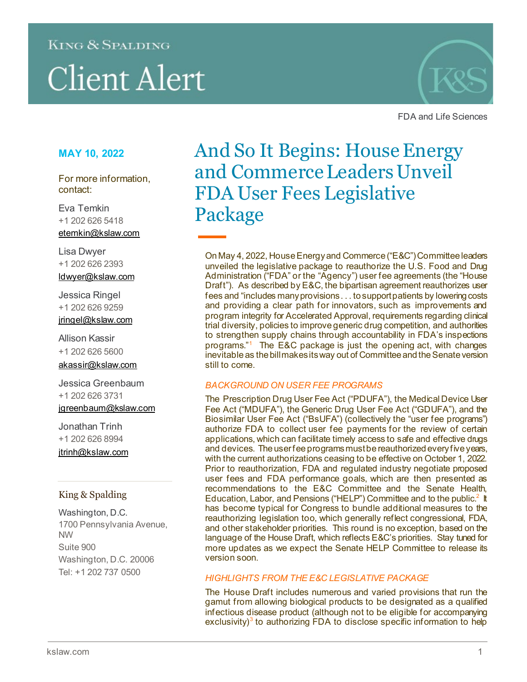### **KING & SPALDING**

# **Client Alert**



FDA and Life Sciences

#### **MAY 10, 2022**

For more information, contact:

Eva Temkin +1 202 626 5418 etemkin@kslaw.com

Lisa Dwyer +1 202 626 2393 [ldwyer@kslaw.com](mailto:ldwyer@kslaw.com)

Jessica Ringel +1 202 626 9259 [jringel@kslaw.com](mailto:jringel@kslaw.com)

Allison Kassir +1 202 626 5600

[akassir@kslaw.com](mailto:akassir@kslaw.com)

Jessica Greenbaum +1 202 626 3731 igreenbaum@kslaw.com

Jonathan Trinh +1 202 626 8994 [jtrinh@kslaw.com](mailto:jtrinh@kslaw.com)

#### King & Spalding

Washington, D.C. 1700 Pennsylvania Avenue, NW Suite 900 Washington, D.C. 20006 Tel: +1 202 737 0500

## And So It Begins: House Energy and Commerce Leaders Unveil FDA User Fees Legislative Package

On May 4, 2022, House Energy and Commerce ("E&C") Committeeleaders unveiled the legislative package to reauthorize the U.S. Food and Drug Administration ("FDA" or the "Agency") user fee agreements (the "House Draft"). As described by E&C, the bipartisan agreement reauthorizes user fees and "includes many provisions . . . to support patients by lowering costs and providing a clear path for innovators, such as improvements and program integrity for Accelerated Approval, requirements regarding clinical trial diversity, policies to improve generic drug competition, and authorities to strengthen supply chains through accountability in FDA's inspections programs."[1](#page-5-0) The E&C package is just the opening act, with changes inevitable as the bill makes its way out of Committee and the Senate version still to come.

#### *BACKGROUND ON USER FEE PROGRAMS*

The Prescription Drug User Fee Act ("PDUFA"), the Medical Device User Fee Act ("MDUFA"), the Generic Drug User Fee Act ("GDUFA"), and the Biosimilar User Fee Act ("BsUFA") (collectively the "user fee programs") authorize FDA to collect user fee payments for the review of certain applications, which can facilitate timely access to safe and effective drugs and devices. The user fee programs must be reauthorized every five years, with the current authorizations ceasing to be effective on October 1, 2022. Prior to reauthorization, FDA and regulated industry negotiate proposed user fees and FDA performance goals, which are then presented as recommendations to the E&C Committee and the Senate Health, Education, Labor, and Pensions ("HELP") Committee and to the public.<sup>[2](#page-5-1)</sup> It has become typical for Congress to bundle additional measures to the reauthorizing legislation too, which generally reflect congressional, FDA, and other stakeholder priorities. This round is no exception, based on the language of the House Draft, which reflects E&C's priorities. Stay tuned for more updates as we expect the Senate HELP Committee to release its version soon.

#### *HIGHLIGHTS FROM THE E&C LEGISLATIVE PACKAGE*

The House Draft includes numerous and varied provisions that run the gamut from allowing biological products to be designated as a qualified infectious disease product (although not to be eligible for accompanying exclusivity)<sup>[3](#page-5-2)</sup> to authorizing FDA to disclose specific information to help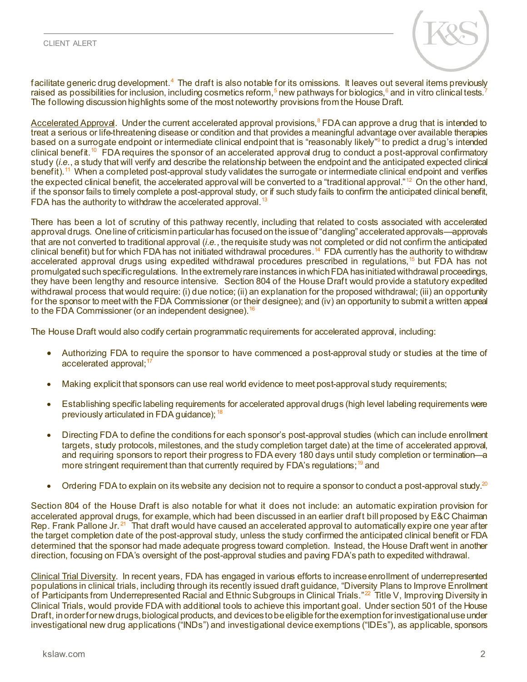

facilitate generic drug development.<sup>[4](#page-5-3)</sup> The draft is also notable for its omissions. It leaves out several items previously raised as possibilities for inclusion, including cosmetics reform,<sup>5</sup> new pathways for biologics,<sup>[6](#page-5-5)</sup> and in vitro clinical tests.<sup>[7](#page-5-6)</sup> The following discussion highlights some of the most noteworthy provisions from the House Draft.

Accelerated Approval. Under the current accelerated approval provisions, [8](#page-5-7) FDA can approve a drug that is intended to treat a serious or life-threatening disease or condition and that provides a meaningful advantage over available therapies based on a surrogate endpoint or intermediate clinical endpoint that is "reasonably likely"<sup>9</sup> to predict a drug's intended clinical benefit.<sup>[10](#page-5-9)</sup> FDA requires the sponsor of an accelerated approval drug to conduct a post-approval confirmatory study (*i.e.*, a study that will verify and describe the relationship between the endpoint and the anticipated expected clinical benefit).<sup>11</sup> When a completed post-approval study validates the surrogate or intermediate clinical endpoint and verifies the expected clinical benefit, the accelerated approval will be converted to a "traditional approval." $12$  On the other hand, if the sponsor fails to timely complete a post-approval study, or if such study fails to confirm the anticipated clinical benefit, FDA has the authority to withdraw the accelerated approval. $^{13}$  $^{13}$  $^{13}$ 

There has been a lot of scrutiny of this pathway recently, including that related to costs associated with accelerated approval drugs. One line of criticism in particularhas focused on the issue of "dangling" accelerated approvals—approvals that are not converted to traditional approval (*i.e.*, the requisite study was not completed or did not confirm the anticipated clinical benefit) but for which FDA has not initiated withdrawal procedures.<sup>[14](#page-5-13)</sup> FDA currently has the authority to withdraw accelerated approval drugs using expedited withdrawal procedures prescribed in regulations,<sup>[15](#page-5-14)</sup> but FDA has not promulgated such specific regulations. In the extremely rare instances in which FDA has initiatedwithdrawal proceedings, they have been lengthy and resource intensive. Section 804 of the House Draft would provide a statutory expedited withdrawal process that would require: (i) due notice; (ii) an explanation for the proposed withdrawal; (iii) an opportunity for the sponsor to meet with the FDA Commissioner (or their designee); and (iv) an opportunity to submit a written appeal to the FDA Commissioner (or an independent designee).  $16$ 

The House Draft would also codify certain programmatic requirements for accelerated approval, including:

- Authorizing FDA to require the sponsor to have commenced a post-approval study or studies at the time of accelerated approval;<sup>[17](#page-5-16)</sup>
- Making explicit that sponsors can use real world evidence to meet post-approval study requirements;
- Establishing specific labeling requirements for accelerated approval drugs (high level labeling requirements were previously articulated in FDA guidance); [18](#page-5-17)
- Directing FDA to define the conditions for each sponsor's post-approval studies (which can include enrollment targets, study protocols, milestones, and the study completion target date) at the time of accelerated approval, and requiring sponsors to report their progress to FDA every 180 days until study completion or termination—a more stringent requirement than that currently required by FDA's regulations;<sup>[19](#page-5-18)</sup> and
- Ordering FDA to explain on its website any decision not to require a sponsor to conduct a post-approval study.<sup>20</sup>

Section 804 of the House Draft is also notable for what it does not include: an automatic expiration provision for accelerated approval drugs, for example, which had been discussed in an earlier draft bill proposed by E&C Chairman Rep. Frank Pallone Jr.<sup>[21](#page-5-20)</sup> That draft would have caused an accelerated approval to automatically expire one year after the target completion date of the post-approval study, unless the study confirmed the anticipated clinical benefit or FDA determined that the sponsor had made adequate progress toward completion. Instead, the House Draft went in another direction, focusing on FDA's oversight of the post-approval studies and paving FDA's path to expedited withdrawal.

Clinical Trial Diversity. In recent years, FDA has engaged in various efforts to increase enrollment of underrepresented populations in clinical trials, including through its recently issued draft guidance, "Diversity Plans to Improve Enrollment of Participants from Underrepresented Racial and Ethnic Subgroups in Clinical Trials."<sup>[22](#page-5-21)</sup> Title V, Improving Diversity in Clinical Trials, would provide FDA with additional tools to achieve this important goal. Under section 501 of the House Draft, in order for new drugs, biological products, and devices to be eligible for the exemption for investigational use under investigational new drug applications ("INDs") and investigational device exemptions ("IDEs"), as applicable, sponsors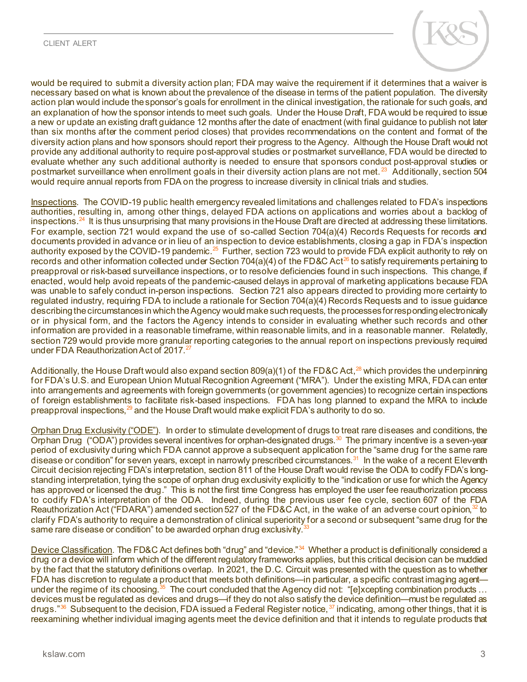

would be required to submit a diversity action plan; FDA may waive the requirement if it determines that a waiver is necessary based on what is known about the prevalence of the disease in terms of the patient population. The diversity action plan would include the sponsor's goals for enrollment in the clinical investigation, the rationale for such goals, and an explanation of how the sponsor intends to meet such goals. Under the House Draft, FDA would be required to issue a new or update an existing draft guidance 12 months after the date of enactment (with final guidance to publish not later than six months after the comment period closes) that provides recommendations on the content and format of the diversity action plans and how sponsors should report their progress to the Agency. Although the House Draft would not provide any additional authority to require post-approval studies or postmarket surveillance, FDA would be directed to evaluate whether any such additional authority is needed to ensure that sponsors conduct post-approval studies or postmarket surveillance when enrollment goals in their diversity action plans are not met. [23](#page-6-0) Additionally, section 504 would require annual reports from FDA on the progress to increase diversity in clinical trials and studies.

Inspections. The COVID-19 public health emergency revealed limitations and challenges related to FDA's inspections authorities, resulting in, among other things, delayed FDA actions on applications and worries about a backlog of inspections. [24](#page-6-1) It is thus unsurprising that many provisions in the House Draft are directed at addressing these limitations. For example, section 721 would expand the use of so-called Section 704(a)(4) Records Requests for records and documents provided in advance or in lieu of an inspection to device establishments, closing a gap in FDA's inspection authority exposed by the COVID-19 pandemic.<sup>25</sup> Further, section 723 would to provide FDA explicit authority to rely on records and other information collected under Section 704(a)(4) of the FD&C Act<sup>[26](#page-6-3)</sup> to satisfy requirements pertaining to preapproval or risk-based surveillance inspections, or to resolve deficiencies found in such inspections. This change, if enacted, would help avoid repeats of the pandemic-caused delays in approval of marketing applications because FDA was unable to safely conduct in-person inspections. Section 721 also appears directed to providing more certainty to regulated industry, requiring FDA to include a rationale for Section 704(a)(4) Records Requests and to issue guidance describing the circumstances in which the Agency would make such requests, the processes for responding electronically or in physical form, and the factors the Agency intends to consider in evaluating whether such records and other information are provided in a reasonable timeframe, within reasonable limits, and in a reasonable manner. Relatedly, section 729 would provide more granular reporting categories to the annual report on inspections previously required under FDA Reauthorization Act of 2017. [27](#page-6-4)

Additionally, the House Draft would also expand section 809(a)(1) of the FD&C Act,<sup>[28](#page-6-5)</sup> which provides the underpinning for FDA's U.S. and European Union Mutual Recognition Agreement ("MRA"). Under the existing MRA, FDA can enter into arrangements and agreements with foreign governments (or government agencies) to recognize certain inspections of foreign establishments to facilitate risk-based inspections. FDA has long planned to expand the MRA to include preapproval inspections,<sup>[29](#page-6-6)</sup> and the House Draft would make explicit FDA's authority to do so.

Orphan Drug Exclusivity ("ODE"). In order to stimulate development of drugs to treat rare diseases and conditions, the Orphan Drug ("ODA") provides several incentives for orphan-designated drugs.<sup>30</sup> The primary incentive is a seven-year period of exclusivity during which FDA cannot approve a subsequent application for the "same drug for the same rare disease or condition" for seven years, except in narrowly prescribed circumstances.<sup>31</sup> In the wake of a recent Eleventh Circuit decision rejecting FDA's interpretation, section 811 of the House Draft would revise the ODA to codify FDA's longstanding interpretation, tying the scope of orphan drug exclusivity explicitly to the "indication or use for which the Agency has approved or licensed the drug." This is not the first time Congress has employed the user fee reauthorization process to codify FDA's interpretation of the ODA. Indeed, during the previous user fee cycle, section 607 of the FDA Reauthorization Act ("FDARA") amended section 527 of the FD&C Act, in the wake of an adverse court opinion, $^{32}$  $^{32}$  $^{32}$  to clarify FDA's authority to require a demonstration of clinical superiority for a second or subsequent "same drug for the same rare disease or condition" to be awarded orphan drug exclusivity.<sup>3</sup>

Device Classification. The FD&C Act defines both "drug" and "device."<sup>34</sup> Whether a product is definitionally considered a drug or a device will inform which of the different regulatory frameworks applies, but this critical decision can be muddied by the fact that the statutory definitions overlap. In 2021, the D.C. Circuit was presented with the question as to whether FDA has discretion to regulate a product that meets both definitions—in particular, a specific contrast imaging agent— under the regime of its choosing.<sup>[35](#page-6-12)</sup> The court concluded that the Agency did not: "[e]xcepting combination products … devices must be regulated as devices and drugs—if they do not also satisfy the device definition—must be regulated as drugs."<sup>36</sup> Subsequent to the decision, FDA issued a Federal Register notice, <sup>[37](#page-6-14)</sup> indicating, among other things, that it is reexamining whether individual imaging agents meet the device definition and that it intends to regulate products that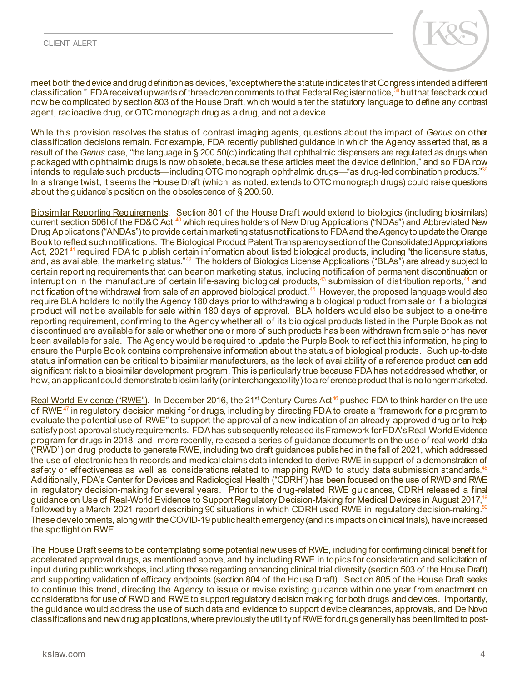

meet both the device and drug definition as devices, "except where the statute indicates that Congress intended a different classification." FDA received upwards of three dozen comments to that Federal Register notice,<sup>[38](#page-6-15)</sup> but that feedback could now be complicated by section 803 of the House Draft, which would alter the statutory language to define any contrast agent, radioactive drug, or OTC monograph drug as a drug, and not a device.

While this provision resolves the status of contrast imaging agents, questions about the impact of *Genus* on other classification decisions remain. For example, FDA recently published guidance in which the Agency asserted that, as a result of the *Genus* case, "the language in § 200.50(c) indicating that ophthalmic dispensers are regulated as drugs when packaged with ophthalmic drugs is now obsolete, because these articles meet the device definition," and so FDA now intends to regulate such products—including OTC monograph ophthalmic drugs—"as drug-led combination products."<sup>39</sup> In a strange twist, it seems the House Draft (which, as noted, extends to OTC monograph drugs) could raise questions about the guidance's position on the obsolescence of § 200.50.

Biosimilar Reporting Requirements. Section 801 of the House Draft would extend to biologics (including biosimilars) current section 506I of the FD&C Act,<sup>[40](#page-6-17)</sup> which requires holders of New Drug Applications ("NDAs") and Abbreviated New Drug Applications ("ANDAs") to provide certain marketing status notifications to FDA and the Agency to update the Orange Book to reflect such notifications. The Biological Product Patent Transparency section of the Consolidated Appropriations Act, 2021<sup>[41](#page-6-18)</sup> required FDA to publish certain information about listed biological products, including "the licensure status, and, as available, the marketing status."<sup>[42](#page-6-19)</sup> The holders of Biologics License Applications ("BLAs") are already subject to certain reporting requirements that can bear on marketing status, including notification of permanent discontinuation or interruption in the manufacture of certain life-saving biological products,<sup>[43](#page-6-20)</sup> submission of distribution reports,<sup>[44](#page-6-21)</sup> and notification of the withdrawal from sale of an approved biological product. [45](#page-6-22) However, the proposed language would also require BLA holders to notify the Agency 180 days prior to withdrawing a biological product from sale or if a biological product will not be available for sale within 180 days of approval. BLA holders would also be subject to a one-time reporting requirement, confirming to the Agency whether all of its biological products listed in the Purple Book as not discontinued are available for sale or whether one or more of such products has been withdrawn from sale or has never been available for sale. The Agency would be required to update the Purple Book to reflect this information, helping to ensure the Purple Book contains comprehensive information about the status of biological products. Such up-to-date status information can be critical to biosimilar manufacturers, as the lack of availability of a reference product can add significant risk to a biosimilar development program. This is particularly true because FDA has not addressed whether, or how, an applicant could demonstrate biosimilarity (or interchangeability) to a reference product that is no longer marketed.

Real World Evidence ("RWE"). In December 2016, the 21<sup>st</sup> Century Cures Act<sup>46</sup> pushed FDA to think harder on the use of RWE $^{47}$  $^{47}$  $^{47}$  in regulatory decision making for drugs, including by directing FDA to create a "framework for a program to evaluate the potential use of RWE" to support the approval of a new indication of an already-approved drug or to help satisfy post-approval study requirements. FDA has subsequently released its Framework for FDA's Real-World Evidence program for drugs in 2018, and, more recently, released a series of guidance documents on the use of real world data ("RWD") on drug products to generate RWE, including two draft guidances published in the fall of 2021, which addressed the use of electronic health records and medical claims data intended to derive RWE in support of a demonstration of safety or effectiveness as well as considerations related to mapping RWD to study data submission standards.<sup>48</sup> Additionally, FDA's Center for Devices and Radiological Health ("CDRH") has been focused on the use of RWD and RWE in regulatory decision-making for several years. Prior to the drug-related RWE guidances, CDRH released a final guidance on Use of Real-World Evidence to Support Regulatory Decision-Making for Medical Devices in August 2017,<sup>49</sup> followed by a March 2021 report describing 90 situations in which CDRH used RWE in regulatory decision-making.<sup>5</sup> These developments, along with the COVID-19 public health emergency (and its impactsonclinical trials), haveincreased the spotlight on RWE.

The House Draft seems to be contemplating some potential new uses of RWE, including for confirming clinical benefit for accelerated approval drugs, as mentioned above, and by including RWE in topics for consideration and solicitation of input during public workshops, including those regarding enhancing clinical trial diversity (section 503 of the House Draft) and supporting validation of efficacy endpoints (section 804 of the House Draft). Section 805 of the House Draft seeks to continue this trend, directing the Agency to issue or revise existing guidance within one year from enactment on considerations for use of RWD and RWE to support regulatory decision making for both drugs and devices. Importantly, the guidance would address the use of such data and evidence to support device clearances, approvals, and De Novo classifications and new drug applications, where previously the utility of RWE for drugs generally has been limited to post-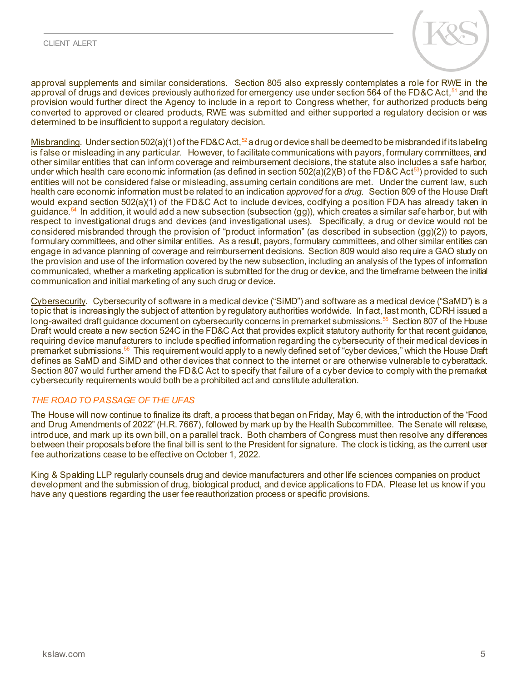

approval supplements and similar considerations. Section 805 also expressly contemplates a role for RWE in the approval of drugs and devices previously authorized for emergency use under section 564 of the FD&C Act,<sup>[51](#page-6-28)</sup> and the provision would further direct the Agency to include in a report to Congress whether, for authorized products being converted to approved or cleared products, RWE was submitted and either supported a regulatory decision or was determined to be insufficient to support a regulatory decision.

Misbranding. Under section 502(a)(1) of the FD&C Act,<sup>[52](#page-6-29)</sup> a drug or device shall be deemed to be misbranded if its labeling is false or misleading in any particular. However, to facilitate communications with payors, formulary committees, and other similar entities that can inform coverage and reimbursement decisions, the statute also includes a safe harbor, under which health care economic information (as defined in section  $502(a)(2)(B)$  of the FD&C Act<sup>[53](#page-6-30)</sup>) provided to such entities will not be considered false or misleading, assuming certain conditions are met. Under the current law, such health care economic information must be related to an indication *approved* for a *drug*. Section 809 of the House Draft would expand section 502(a)(1) of the FD&C Act to include devices, codifying a position FDA has already taken in guidance.<sup>54</sup> In addition, it would add a new subsection (subsection (gg)), which creates a similar safe harbor, but with respect to investigational drugs and devices (and investigational uses). Specifically, a drug or device would not be considered misbranded through the provision of "product information" (as described in subsection (gg)(2)) to payors, formulary committees, and other similar entities. As a result, payors, formulary committees, and other similar entities can engage in advance planning of coverage and reimbursement decisions. Section 809 would also require a GAO study on the provision and use of the information covered by the new subsection, including an analysis of the types of information communicated, whether a marketing application is submitted for the drug or device, and the timeframe between the initial communication and initial marketing of any such drug or device.

Cybersecurity. Cybersecurity of software in a medical device ("SiMD") and software as a medical device ("SaMD") is a topic that is increasingly the subject of attention by regulatory authorities worldwide. In fact, last month, CDRH issued a long-awaited draft guidance document on cybersecurity concerns in premarket submissions.<sup>[55](#page-6-32)</sup> Section 807 of the House Draft would create a new section 524C in the FD&C Act that provides explicit statutory authority for that recent guidance, requiring device manufacturers to include specified information regarding the cybersecurity of their medical devices in premarket submissions.<sup>[56](#page-6-33)</sup> This requirement would apply to a newly defined set of "cyber devices," which the House Draft defines as SaMD and SiMD and other devices that connect to the internet or are otherwise vulnerable to cyberattack. Section 807 would further amend the FD&C Act to specify that failure of a cyber device to comply with the premarket cybersecurity requirements would both be a prohibited act and constitute adulteration.

#### *THE ROAD TO PASSAGE OF THE UFAS*

The House will now continue to finalize its draft, a process that began on Friday, May 6, with the introduction of the "Food and Drug Amendments of 2022" (H.R. 7667), followed by mark up by the Health Subcommittee. The Senate will release, introduce, and mark up its own bill, on a parallel track. Both chambers of Congress must then resolve any differences between their proposals before the final bill is sent to the President for signature. The clock is ticking, as the current user fee authorizations cease to be effective on October 1, 2022.

King & Spalding LLP regularly counsels drug and device manufacturers and other life sciences companies on product development and the submission of drug, biological product, and device applications to FDA. Please let us know if you have any questions regarding the user fee reauthorization process or specific provisions.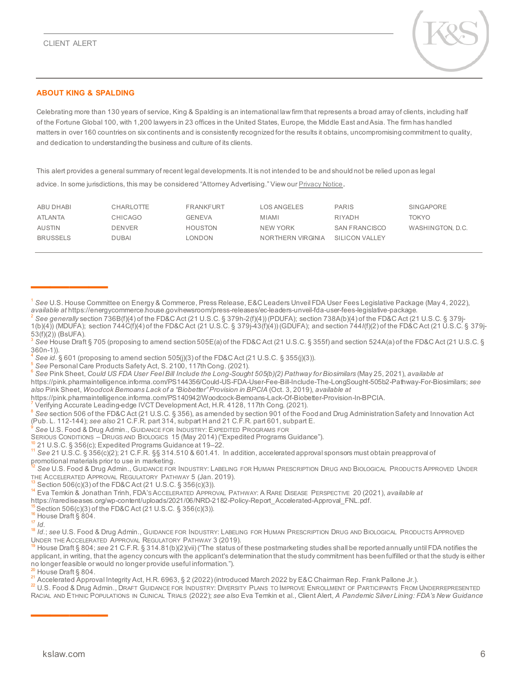————



#### **ABOUT KING & SPALDING**

Celebrating more than 130 years of service, King & Spalding is an international law firm that represents a broad array of clients, including half of the Fortune Global 100, with 1,200 lawyers in 23 offices in the United States, Europe, the Middle East and Asia. The firm has handled matters in over 160 countries on six continents and is consistently recognized for the results it obtains, uncompromising commitment to quality, and dedication to understanding the business and culture of its clients.

This alert provides a general summary of recent legal developments. It is not intended to be and should not be relied upon as legal advice. In some jurisdictions, this may be considered "Attorney Advertising." View ou[r Privacy Notice](https://www.kslaw.com/pages/privacy-notice).

| ABU DHABI       | CHARLOTTE     | <b>FRANKFURT</b> | LOS ANGELES       | <b>PARIS</b>         | SINGAPORE        |
|-----------------|---------------|------------------|-------------------|----------------------|------------------|
| ATLANTA         | CHICAGO       | <b>GENEVA</b>    | <b>MIAMI</b>      | RIYADH               | TOKYO            |
| AUSTIN          | <b>DENVER</b> | HOUSTON          | NEW YORK          | <b>SAN FRANCISCO</b> | WASHINGTON, D.C. |
| <b>BRUSSELS</b> | <b>DUBAI</b>  | LONDON           | NORTHERN VIRGINIA | SILICON VALLEY       |                  |

<span id="page-5-5"></span>https://pink.pharmaintelligence.informa.com/PS144356/Could-US-FDA-User-Fee-Bill-Include-The-LongSought-505b2-Pathway-For-Biosimilars; *see also* Pink Sheet, *Woodcok Bemoans Lack of a "Biobetter" Provision in BPCIA* (Oct. 3, 2019), *available at*

https://pink.pharmaintelligence.informa.com/PS140942/Woodcock-Bemoans-Lack-Of-Biobetter-Provision-In-BPCIA.<br>7 Verifying Accurate Leading-edge IVCT Development Act, H.R. 4128, 117th Cong. (2021).

<span id="page-5-6"></span>

<span id="page-5-7"></span>8 See section 506 of the FD&C Act (21 U.S.C. § 356), as amended by section 901 of the Food and Drug Administration Safety and Innovation Act (Pub. L. 112-144); *see also* 21 C.F.R. part 314, subpart H and 21 C.F.R. part 601, subpart E.<br><sup>9</sup> See U.S. Food & Drug Admin., GUIDANCE FOR INDUSTRY: EXPEDITED PROGRAMS FOR<br>SERIOUS CONDITIONS – DRUGS AND BIOLOGICS 15 (May

<span id="page-5-8"></span>

<span id="page-5-12"></span>

<sup>13</sup> Section 506(c)(3) of the FD&C Act (21 U.S.C. § 356(c)(3)).<br><sup>14</sup> Eva Temkin & Jonathan Trinh, FDA's AccELERATED APPROVAL PATHWAY: A RARE DISEASE PERSPECTIVE 20 (2021), *available at* 

<span id="page-5-13"></span>[https://rarediseases.org/wp-content/uploads/2021/06/NRD-2182-Policy-Report\\_Accelerated-Approval\\_FNL.pdf](https://rarediseases.org/wp-content/uploads/2021/06/NRD-2182-Policy-Report_Accelerated-Approval_FNL.pdf). <sup>[15](https://rarediseases.org/wp-content/uploads/2021/06/NRD-2182-Policy-Report_Accelerated-Approval_FNL.pdf)</sup> Section 506(c)(3) of the FD&C Act (21 U.S.C. § 356(c)(3)). <sup>16</sup> House Draft § 804. 17 *Id.* 

<span id="page-5-14"></span>

<span id="page-5-15"></span>

<span id="page-5-17"></span><span id="page-5-16"></span><sup>17</sup> *Id.* <sup>18</sup> *Id.*; *see* U.S. Food & Drug Admin., GUIDANCE FOR INDUSTRY: LABELING FOR HUMAN PRESCRIPTION DRUG AND BIOLOGICAL PRODUCTS APPROVED UNDER THE ACCELERATED APPROVAL REGULATORY PATHWAY 3 (2019).<br><sup>19</sup> House Draft § 804; *see* 21 C.F.R. § 314.81(b)(2)(vii) ("The status of these postmarketing studies shall be reported annually until FDA notifies the

<span id="page-5-18"></span>applicant, in writing, that the agency concurs with the applicant's determination that the study commitment has been fulfilled or that the study is either<br>no longer feasible or would no longer provide useful information.")

<span id="page-5-19"></span> $\frac{20}{21}$  House Draft § 804.<br><sup>21</sup> Accelerated Approval Integrity Act, H.R. 6963, § 2 (2022) (introduced March 2022 by E&C Chairman Rep. Frank Pallone Jr.).

<span id="page-5-21"></span><span id="page-5-20"></span><sup>22</sup> U.S. Food & Drug Admin., DRAFT GUIDANCE FOR INDUSTRY: DIVERSITY PLANS TO IMPROVE ENROLLMENT OF PARTICIPANTS FROM UNDERREPRESENTED RACIAL AND ETHNIC POPULATIONS IN CLINICAL TRIALS (2022); *see also* Eva Temkin et al., Client Alert, *A Pandemic Silver Lining: FDA's New Guidance* 

————

<span id="page-5-0"></span><sup>&</sup>lt;sup>1</sup> See U.S. House Committee on Energy & Commerce, Press Release, E&C Leaders Unveil FDA User Fees Legislative Package (May 4, 2022),<br>*available at* https://energycommerce.house.gov/newsroom/press-releases/ec-leaders-unvei

<span id="page-5-1"></span>See generally section 736B(f)(4) of the FD&C Act (21 U.S.C. § 379h-2(f)(4)) (PDUFA); section 738A(b)(4) of the FD&C Act (21 U.S.C. § 379j-1(b)(4)) (MDUFA); section 744C(f)(4) of the FD&C Act (21 U.S.C. § 379j-43(f)(4)) (GDUFA); and section 744*I*(f)(2) of the FD&C Act (21 U.S.C. § 379j- $(53(f)(2))$  (BsUFA).

<span id="page-5-2"></span><sup>3</sup> *See* House Draft § 705 (proposing to amend section 505E(a) of the FD&C Act (21 U.S.C. § 355f) and section 524A(a) of the FD&C Act (21 U.S.C. §

<span id="page-5-4"></span>

<span id="page-5-3"></span><sup>360</sup>n-1)).<br><sup>4</sup> See *id.* § 601 (proposing to amend section 505(j)(3) of the FD&C Act (21 U.S.C. § 355(j)(3)).<br><sup>5</sup> See Personal Care Products Safety Act, S. 2100, 117th Cong. (2021).<br><sup>6</sup> See Pink Sheet, *Could US FDA User Fe* 

<span id="page-5-10"></span><span id="page-5-9"></span><sup>&</sup>lt;sup>10</sup> 21 U.S.C. § 356(c); Expedited Programs Guidance at 19–22.<br><sup>11</sup> See 21 U.S.C. § 356(c)(2); 21 C.F.R. §§ 314.510 & 601.41. In addition, accelerated approval sponsors must obtain preapproval of promotional materials prior to use in marketing.

<span id="page-5-11"></span><sup>&</sup>lt;sup>12</sup> See U.S. Food & Drug Admin., GUIDANCE FOR INDUSTRY: LABELING FOR HUMAN PRESCRIPTION DRUG AND BIOLOGICAL PRODUCTS APPROVED UNDER<br>THE ACCELERATED APPROVAL REGULATORY PATHWAY 5 (Jan. 2019).